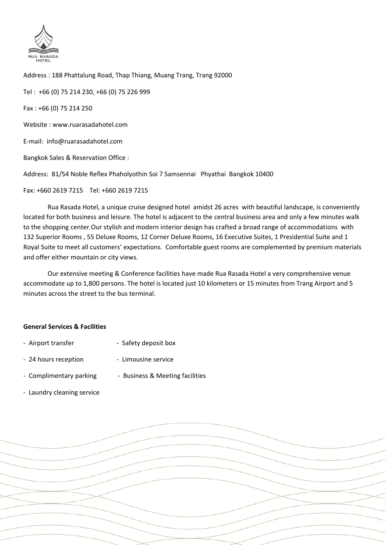

Address : 188 Phattalung Road, Thap Thiang, Muang Trang, Trang 92000

Tel : +66 (0) 75 214 230, +66 (0) 75 226 999

Fax : +66 (0) 75 214 250

Website : www.ruarasadahotel.com

E-mail: info@ruarasadahotel.com

Bangkok Sales & Reservation Office :

Address: 81/54 Noble Reflex Phaholyothin Soi 7 Samsennai Phyathai Bangkok 10400

Fax: +660 2619 7215 Tel: +660 2619 7215

 Rua Rasada Hotel, a unique cruise designed hotel amidst 26 acres with beautiful landscape, is conveniently located for both business and leisure. The hotel is adjacent to the central business area and only a few minutes walk to the shopping center.Our stylish and modern interior design has crafted a broad range of accommodations with 132 Superior Rooms , 55 Deluxe Rooms, 12 Corner Deluxe Rooms, 16 Executive Suites, 1 Presidential Suite and 1 Royal Suite to meet all customers' expectations. Comfortable guest rooms are complemented by premium materials and offer either mountain or city views.

 Our extensive meeting & Conference facilities have made Rua Rasada Hotel a very comprehensive venue accommodate up to 1,800 persons. The hotel is located just 10 kilometers or 15 minutes from Trang Airport and 5 minutes across the street to the bus terminal.

#### **General Services & Facilities**

- Airport transfer Safety deposit box
- 24 hours reception Limousine service
- Complimentary parking Business & Meeting facilities
- Laundry cleaning service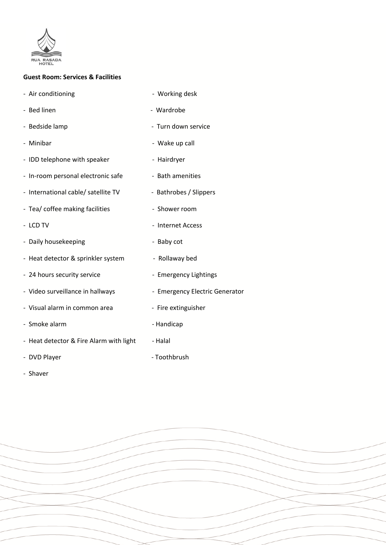

#### **Guest Room: Services & Facilities**

- Air conditioning extending the Morking desk
- Bed linen Wardrobe
- Bedside lamp entitled and the Second Lagrange Turn down service
- Minibar  **Wake up call**
- IDD telephone with speaker Hairdryer
- In-room personal electronic safe Bath amenities
- International cable/ satellite TV Bathrobes / Slippers
- Tea/ coffee making facilities Shower room
- LCD TV Internet Access
- Daily housekeeping extended by the Baby cot
- Heat detector & sprinkler system Rollaway bed
- 24 hours security service The Semergency Lightings
- Video surveillance in hallways Emergency Electric Generator
- Visual alarm in common area Fire extinguisher
- Smoke alarm Handicap
- Heat detector & Fire Alarm with light Halal
- DVD Player **COMPONEY CONSUMER** Toothbrush
- Shaver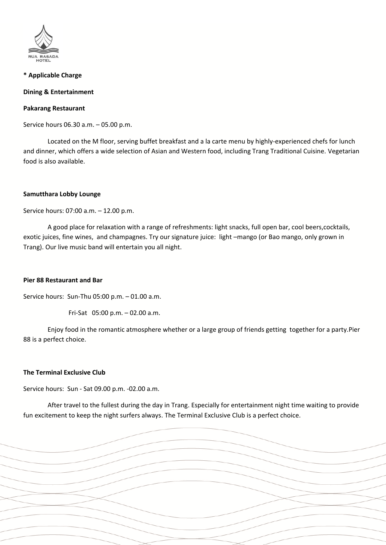

## **\* Applicable Charge**

## **Dining & Entertainment**

#### **Pakarang Restaurant**

Service hours 06.30 a.m. – 05.00 p.m.

 Located on the M floor, serving buffet breakfast and a la carte menu by highly-experienced chefs for lunch and dinner, which offers a wide selection of Asian and Western food, including Trang Traditional Cuisine. Vegetarian food is also available.

#### **Samutthara Lobby Lounge**

Service hours: 07:00 a.m. – 12.00 p.m.

 A good place for relaxation with a range of refreshments: light snacks, full open bar, cool beers,cocktails, exotic juices, fine wines, and champagnes. Try our signature juice: light –mango (or Bao mango, only grown in Trang). Our live music band will entertain you all night.

## **Pier 88 Restaurant and Bar**

Service hours: Sun-Thu 05:00 p.m. – 01.00 a.m.

Fri-Sat 05:00 p.m. – 02.00 a.m.

 Enjoy food in the romantic atmosphere whether or a large group of friends getting together for a party.Pier 88 is a perfect choice.

## **The Terminal Exclusive Club**

Service hours: Sun - Sat 09.00 p.m. -02.00 a.m.

 After travel to the fullest during the day in Trang. Especially for entertainment night time waiting to provide fun excitement to keep the night surfers always. The Terminal Exclusive Club is a perfect choice.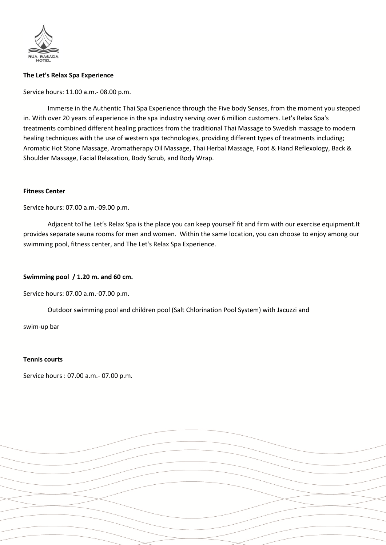

## **The Let's Relax Spa Experience**

Service hours: 11.00 a.m.- 08.00 p.m.

 Immerse in the Authentic Thai Spa Experience through the Five body Senses, from the moment you stepped in. With over 20 years of experience in the spa industry serving over 6 million customers. Let's Relax Spa's treatments combined different healing practices from the traditional Thai Massage to Swedish massage to modern healing techniques with the use of western spa technologies, providing different types of treatments including; Aromatic Hot Stone Massage, Aromatherapy Oil Massage, Thai Herbal Massage, Foot & Hand Reflexology, Back & Shoulder Massage, Facial Relaxation, Body Scrub, and Body Wrap.

#### **Fitness Center**

Service hours: 07.00 a.m.-09.00 p.m.

 Adjacent toThe Let's Relax Spa is the place you can keep yourself fit and firm with our exercise equipment.It provides separate sauna rooms for men and women. Within the same location, you can choose to enjoy among our swimming pool, fitness center, and The Let's Relax Spa Experience.

## **Swimming pool / 1.20 m. and 60 cm.**

Service hours: 07.00 a.m.-07.00 p.m.

Outdoor swimming pool and children pool (Salt Chlorination Pool System) with Jacuzzi and

swim-up bar

#### **Tennis courts**

Service hours : 07.00 a.m.- 07.00 p.m.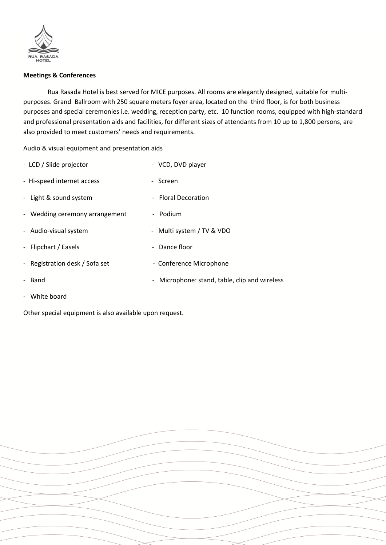

## **Meetings & Conferences**

 Rua Rasada Hotel is best served for MICE purposes. All rooms are elegantly designed, suitable for multipurposes. Grand Ballroom with 250 square meters foyer area, located on the third floor, is for both business purposes and special ceremonies i.e. wedding, reception party, etc. 10 function rooms, equipped with high-standard and professional presentation aids and facilities, for different sizes of attendants from 10 up to 1,800 persons, are also provided to meet customers' needs and requirements.

Audio & visual equipment and presentation aids

| - LCD / Slide projector        | - VCD, DVD player                                                       |
|--------------------------------|-------------------------------------------------------------------------|
| - Hi-speed internet access     | - Screen                                                                |
| - Light & sound system         | - Floral Decoration                                                     |
| - Wedding ceremony arrangement | - Podium                                                                |
| - Audio-visual system          | - Multi system / TV & VDO                                               |
| - Flipchart / Easels           | - Dance floor                                                           |
| - Registration desk / Sofa set | - Conference Microphone                                                 |
| Band                           | Microphone: stand, table, clip and wireless<br>$\overline{\phantom{a}}$ |

- White board

Other special equipment is also available upon request.